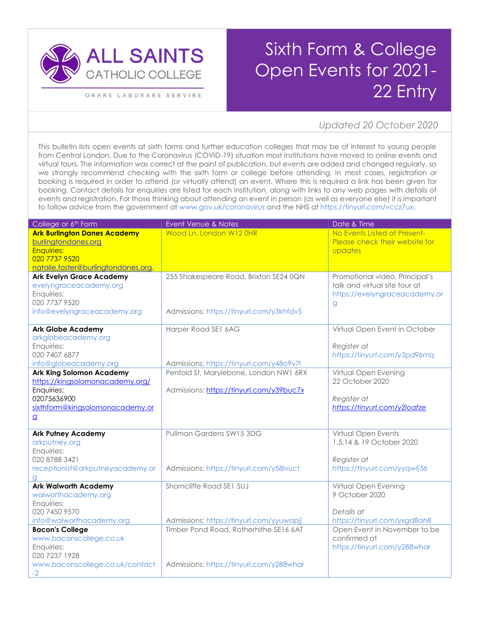

ORARE LABORARE SERVIRE

## Sixth Form & College Open Events for 2021- 22 Entry

## *16K=307/17K=326/18K=346/19K=365 SW1E 5ND 75/133/215 7Updated 20 October 2020*

This bulletin lists open events at sixth forms and further education colleges that may be of interest to young people from Central London. Due to the Coronavirus (COVID-19) situation most institutions have moved to online events and virtual tours. The information was correct at the point of publication, but events are added and changed regularly, so we strongly recommend checking with the sixth form or college before attending. In most cases, registration or booking is required in order to attend (or virtually attend) an event. Where this is required a link has been given for booking. Contact details for enquiries are listed for each institution, along with links to any web pages with details of events and registration. For those thinking about attending an event in person (as well as everyone else) it is important to follow advice from the government at [www.gov.uk/coronavirus](http://www.gov.uk/coronavirus) and the NHS at [https://tinyurl.com/vccz7ux.](https://tinyurl.com/vccz7ux)

| College or 6 <sup>th</sup> Form                           | Event Venue & Notes                      | Date & Time                                                     |
|-----------------------------------------------------------|------------------------------------------|-----------------------------------------------------------------|
| <b>Ark Burlington Danes Academy</b>                       | Wood Ln, London W12 0HR                  | No Events Listed at Present-                                    |
| burlingtondanes.org                                       |                                          | Please check their website for                                  |
| <b>Enquiries:</b>                                         |                                          | updates                                                         |
| 020 7737 9520                                             |                                          |                                                                 |
| natalie.foster@burlingtondanes.org,                       |                                          |                                                                 |
| <b>Ark Evelyn Grace Academy</b><br>evelyngraceacademy.org | 255 Shakespeare Road, Brixton SE24 0QN   | Promotional video, Principal's<br>talk and virtual site tour at |
| Enquiries:                                                |                                          | https://evelyngraceacademy.or                                   |
| 020 7737 9520                                             |                                          | $\mathsf{Q}%$                                                   |
| info@evelyngraceacademy.org                               | Admissions: https://tinyurl.com/y3khfdv5 |                                                                 |
|                                                           |                                          |                                                                 |
| <b>Ark Globe Academy</b>                                  | Harper Road SE1 6AG                      | Virtual Open Event in October                                   |
| arkglobeacademy.org                                       |                                          |                                                                 |
| Enquiries:                                                |                                          | Register at                                                     |
| 020 7407 6877                                             |                                          | https://tinyurl.com/y3pd96mq                                    |
| info@globeacademy.org                                     | Admissions: https://tinyurl.com/y48o9v7l |                                                                 |
| <b>Ark King Solomon Academy</b>                           | Penfold St, Marylebone, London NW1 6RX   | Virtual Open Evening                                            |
| https://kingsolomonacademy.org/                           |                                          | 22 October 2020                                                 |
| Enquiries:                                                | Admissions: https://tinyurl.com/y39buc7x |                                                                 |
| 02075636900<br>sixthform@kingsolomonacademy.or            |                                          | Register at<br>https://tinyurl.com/y2loafze                     |
|                                                           |                                          |                                                                 |
| $\overline{a}$                                            |                                          |                                                                 |
| <b>Ark Putney Academy</b>                                 | Pullman Gardens SW15 3DG                 | Virtual Open Events                                             |
| arkputney.org                                             |                                          | 1,5,14 & 19 October 2020                                        |
| Enquiries:                                                |                                          |                                                                 |
| 020 8788 3421                                             |                                          | Register at                                                     |
| receptionist@arkputneyacademy.or                          | Admissions: https://tinyurl.com/y58lvuct | https://tinyurl.com/yyqwfj56                                    |
| a                                                         |                                          |                                                                 |
| <b>Ark Walworth Academy</b>                               | Shorncliffe Road SE1 5UJ                 | Virtual Open Evening                                            |
| walworthacademy.org                                       |                                          | 9 October 2020                                                  |
| Enquiries:<br>020 7450 9570                               |                                          | Details at                                                      |
| info@walworthacademy.org                                  | Admissions: https://tinyurl.com/yyuwapjj | https://tinyurl.com/yxgd8ah8                                    |
| <b>Bacon's College</b>                                    | Timber Pond Road, Rotherhithe SE16 6AT   | Open Event in November to be                                    |
| www.baconscollege.co.uk                                   |                                          | confirmed at                                                    |
| Enquiries:                                                |                                          | https://tinyurl.com/y288whar                                    |
| 020 7237 1928                                             |                                          |                                                                 |
| www.baconscollege.co.uk/contact                           | Admissions: https://tinyurl.com/y288whar |                                                                 |
| $-2$                                                      |                                          |                                                                 |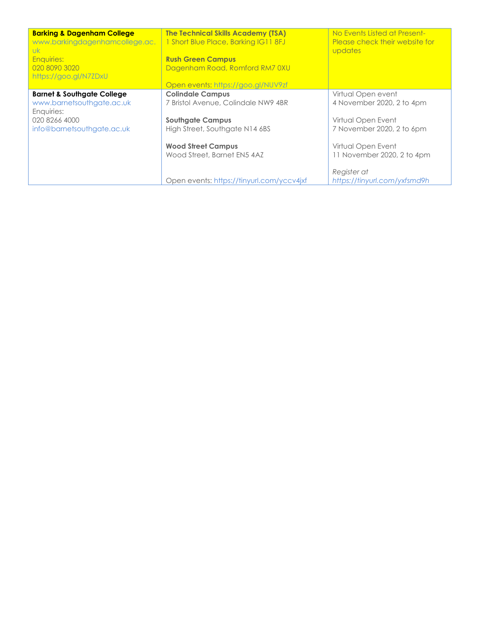| <b>Barking &amp; Dagenham College</b><br>www.barkingdagenhamcollege.ac.<br><b>UK</b><br><b>Enquiries:</b><br>020 8090 3020<br>https://goo.gl/N7ZDxU | <b>The Technical Skills Academy (TSA)</b><br>1 Short Blue Place, Barking IG11 8FJ<br><b>Rush Green Campus</b><br>Dagenham Road, Romford RM7 0XU<br>Open events: https://goo.gl/NUV9zf | No Events Listed at Present-<br>Please check their website for<br>updates                          |
|-----------------------------------------------------------------------------------------------------------------------------------------------------|---------------------------------------------------------------------------------------------------------------------------------------------------------------------------------------|----------------------------------------------------------------------------------------------------|
| <b>Barnet &amp; Southgate College</b><br>www.barnetsouthgate.ac.uk<br>Enquiries:<br>020 8266 4000<br>info@barnetsouthgate.ac.uk                     | <b>Colindale Campus</b><br>7 Bristol Avenue, Colindale NW9 4BR<br><b>Southgate Campus</b><br>High Street, Southgate N14 6BS                                                           | Virtual Open event<br>4 November 2020, 2 to 4pm<br>Virtual Open Event<br>7 November 2020, 2 to 6pm |
|                                                                                                                                                     | <b>Wood Street Campus</b><br>Wood Street, Barnet EN5 4AZ<br>Open events: https://tinyurl.com/yccv4jxf                                                                                 | Virtual Open Event<br>11 November 2020, 2 to 4pm<br>Register at<br>https://tinyurl.com/yxfsmd9h    |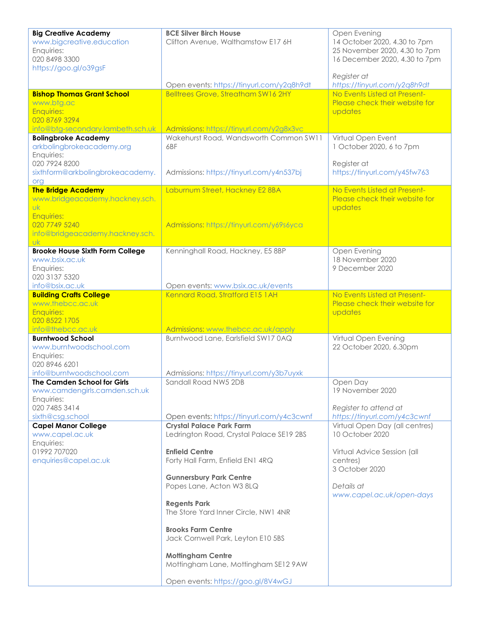| <b>Big Creative Academy</b><br>www.bigcreative.education<br>Enquiries:                                                     | <b>BCE Silver Birch House</b><br>Clifton Avenue, Walthamstow E17 6H                    | Open Evening<br>14 October 2020, 4.30 to 7pm<br>25 November 2020, 4.30 to 7pm |
|----------------------------------------------------------------------------------------------------------------------------|----------------------------------------------------------------------------------------|-------------------------------------------------------------------------------|
| 020 8498 3300<br>https://goo.gl/o39gsF                                                                                     |                                                                                        | 16 December 2020, 4.30 to 7pm                                                 |
|                                                                                                                            | Open events: https://tinyurl.com/y2q8h9dt                                              | Register at<br>https://tinyurl.com/y2q8h9dt                                   |
| <b>Bishop Thomas Grant School</b><br>www.btg.ac<br><b>Enquiries:</b><br>020 8769 3294<br>info@btg-secondary.lambeth.sch.uk | <b>Belltrees Grove, Streatham SW16 2HY</b><br>Admissions: https://tinyurl.com/y2g8x3vc | No Events Listed at Present-<br>Please check their website for<br>updates     |
| <b>Bolingbroke Academy</b><br>arkbolingbrokeacademy.org<br>Enquiries:                                                      | Wakehurst Road, Wandsworth Common SW11<br>6BF                                          | Virtual Open Event<br>1 October 2020, 6 to 7pm                                |
| 020 7924 8200<br>sixthform@arkbolingbrokeacademy.<br>org                                                                   | Admissions: https://tinyurl.com/y4n537bj                                               | Register at<br>https://tinyurl.com/y45fw763                                   |
| <b>The Bridge Academy</b><br>www.bridgeacademy.hackney.sch.<br><b>Uk</b><br><b>Enquiries:</b>                              | Laburnum Street, Hackney E2 8BA                                                        | No Events Listed at Present-<br>Please check their website for<br>updates     |
| 020 7749 5240<br>info@bridgeacademy.hackney.sch.<br><b>uk</b>                                                              | Admissions: https://tinyurl.com/y69s6yca                                               |                                                                               |
| <b>Brooke House Sixth Form College</b><br>www.bsix.ac.uk<br>Enquiries:<br>020 3137 5320                                    | Kenninghall Road, Hackney, E5 8BP                                                      | Open Evening<br>18 November 2020<br>9 December 2020                           |
| info@bsix.ac.uk                                                                                                            | Open events: www.bsix.ac.uk/events                                                     |                                                                               |
| <b>Building Crafts College</b><br>www.thebcc.ac.uk<br><b>Enquiries:</b><br>020 8522 1705                                   | Kennard Road, Stratford E15 1AH                                                        | No Events Listed at Present-<br>Please check their website for<br>updates     |
| info@thebcc.ac.uk                                                                                                          | Admissions: www.thebcc.ac.uk/apply<br>Burntwood Lane, Earlsfield SW170AQ               |                                                                               |
| <b>Burntwood School</b><br>www.burntwoodschool.com<br>Enquiries:<br>020 8946 6201                                          |                                                                                        | Virtual Open Evening<br>22 October 2020, 6.30pm                               |
| info@burntwoodschool.com                                                                                                   | Admissions: https://tinyurl.com/y3b7uyxk                                               |                                                                               |
| The Camden School for Girls<br>www.camdengirls.camden.sch.uk<br>Enquiries:                                                 | Sandall Road NW5 2DB                                                                   | Open Day<br>19 November 2020                                                  |
| 020 7485 3414<br>sixth@csg.school                                                                                          | Open events: https://tinyurl.com/y4c3cwnf                                              | Register to attend at<br>https://tinyurl.com/y4c3cwnf                         |
| <b>Capel Manor College</b><br>www.capel.ac.uk<br>Enquiries:                                                                | <b>Crystal Palace Park Farm</b><br>Ledrington Road, Crystal Palace SE19 2BS            | Virtual Open Day (all centres)<br>10 October 2020                             |
| 01992 707020<br>enquiries@capel.ac.uk                                                                                      | <b>Enfield Centre</b><br>Forty Hall Farm, Enfield EN1 4RQ                              | Virtual Advice Session (all<br>centres)<br>3 October 2020                     |
|                                                                                                                            | <b>Gunnersbury Park Centre</b><br>Popes Lane, Acton W3 8LQ                             | Details at<br>www.capel.ac.uk/open-days                                       |
|                                                                                                                            | <b>Regents Park</b><br>The Store Yard Inner Circle, NW1 4NR                            |                                                                               |
|                                                                                                                            | <b>Brooks Farm Centre</b><br>Jack Cornwell Park, Leyton E10 5BS                        |                                                                               |
|                                                                                                                            | <b>Mottingham Centre</b><br>Mottingham Lane, Mottingham SE12 9AW                       |                                                                               |
|                                                                                                                            | Open events: https://goo.gl/8V4wGJ                                                     |                                                                               |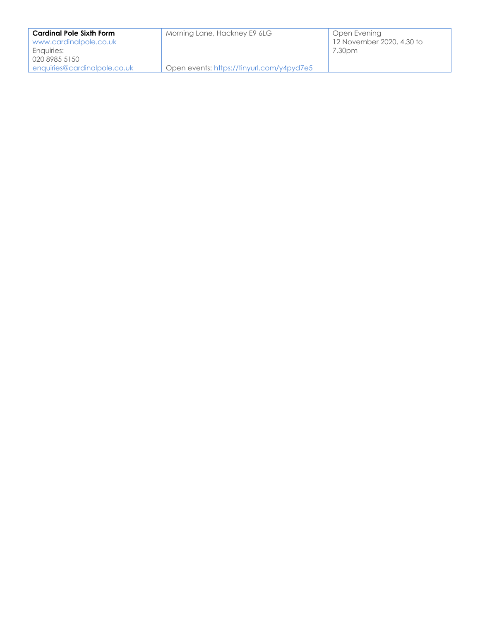| <b>Cardinal Pole Sixth Form</b><br>www.cardinalpole.co.uk | Morning Lane, Hackney E9 6LG              | Open Evening<br>12 November 2020, 4.30 to |
|-----------------------------------------------------------|-------------------------------------------|-------------------------------------------|
| Enquiries:                                                |                                           | 7.30pm                                    |
| 020 8985 5150                                             |                                           |                                           |
| enauiries@cardinalpole.co.uk                              | Open events: https://tinyurl.com/y4pyd7e5 |                                           |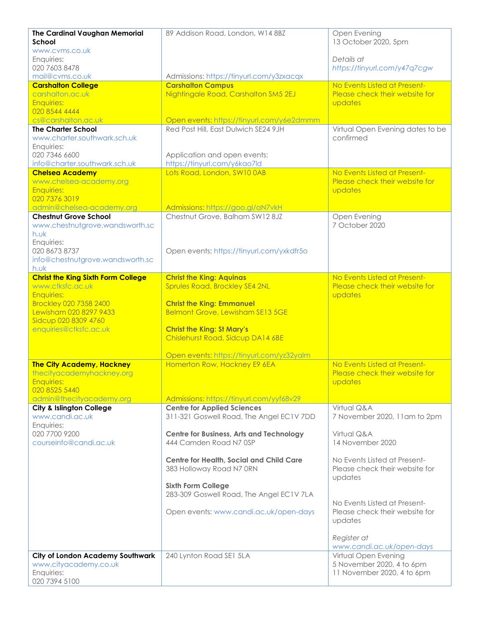| <b>The Cardinal Vaughan Memorial</b><br>School                | 89 Addison Road, London, W14 8BZ                                                  | Open Evening<br>13 October 2020, 5pm                           |
|---------------------------------------------------------------|-----------------------------------------------------------------------------------|----------------------------------------------------------------|
| www.cvms.co.uk<br>Enquiries:<br>020 7603 8478                 |                                                                                   | Details at<br>https://tinyurl.com/y47q7cgw                     |
| mail@cvms.co.uk                                               | Admissions: https://tinyurl.com/y3zxacqx                                          |                                                                |
| <b>Carshalton College</b>                                     | <b>Carshalton Campus</b>                                                          | No Events Listed at Present-                                   |
| carshalton.ac.uk                                              | Nightingale Road, Carshalton SM5 2EJ                                              | Please check their website for                                 |
| <b>Enquiries:</b>                                             |                                                                                   | updates                                                        |
| 020 8544 4444<br>cs@carshalton.ac.uk                          |                                                                                   |                                                                |
| <b>The Charter School</b>                                     | Open events: https://tinyurl.com/y6e2dmmm<br>Red Post Hill, East Dulwich SE24 9JH | Virtual Open Evening dates to be                               |
| www.charter.southwark.sch.uk                                  |                                                                                   | confirmed                                                      |
| Enquiries:                                                    |                                                                                   |                                                                |
| 020 7346 6600                                                 | Application and open events:                                                      |                                                                |
| info@charter.southwark.sch.uk                                 | https://tinyurl.com/y6kao7ld                                                      |                                                                |
| <b>Chelsea Academy</b>                                        | Lots Road, London, SW10 0AB                                                       | No Events Listed at Present-                                   |
| www.chelsea-academy.org                                       |                                                                                   | Please check their website for                                 |
| <b>Enquiries:</b>                                             |                                                                                   | updates                                                        |
| 020 7376 3019<br>admin@chelsea-academy.org                    | Admissions: https://goo.gl/aN7vkH                                                 |                                                                |
| <b>Chestnut Grove School</b>                                  | Chestnut Grove, Balham SW12 8JZ                                                   | Open Evening                                                   |
| www.chestnutgrove.wandsworth.sc                               |                                                                                   | 7 October 2020                                                 |
| h.wk                                                          |                                                                                   |                                                                |
| Enquiries:                                                    |                                                                                   |                                                                |
| 020 8673 8737                                                 | Open events: https://tinyurl.com/yxkdfr5o                                         |                                                                |
| info@chestnutgrove.wandsworth.sc                              |                                                                                   |                                                                |
| h.wk                                                          |                                                                                   |                                                                |
| <b>Christ the King Sixth Form College</b><br>www.ctksfc.ac.uk | <b>Christ the King: Aquinas</b><br>Sprules Road, Brockley SE4 2NL                 | No Events Listed at Present-<br>Please check their website for |
| <b>Enquiries:</b>                                             |                                                                                   | updates                                                        |
| <b>Brockley 020 7358 2400</b>                                 | <b>Christ the King: Emmanuel</b>                                                  |                                                                |
| Lewisham 020 8297 9433                                        | <b>Belmont Grove, Lewisham SE13 5GE</b>                                           |                                                                |
| Sidcup 020 8309 4760                                          |                                                                                   |                                                                |
| enquiries@ctksfc.ac.uk                                        | <b>Christ the King: St Mary's</b>                                                 |                                                                |
|                                                               | Chislehurst Road, Sidcup DA14 6BE                                                 |                                                                |
|                                                               | Open events: https://tinyurl.com/yz32yalm                                         |                                                                |
| <b>The City Academy, Hackney</b>                              | Homerton Row, Hackney E9 6EA                                                      | No Events Listed at Present-                                   |
| thecityacademyhackney.org<br>Enquiries:                       |                                                                                   | Please check their website for<br>updates                      |
| 020 8525 5440                                                 |                                                                                   |                                                                |
| admin@thecityacademy.org                                      | Admissions: https://tinyurl.com/yyf68v29                                          |                                                                |
| City & Islington College                                      | <b>Centre for Applied Sciences</b>                                                | Virtual Q&A                                                    |
| www.candi.ac.uk                                               | 311-321 Goswell Road, The Angel EC1V 7DD                                          | 7 November 2020, 11 am to 2pm                                  |
| Enquiries:<br>020 7700 9200                                   |                                                                                   |                                                                |
| courseinfo@candi.ac.uk                                        | <b>Centre for Business, Arts and Technology</b><br>444 Camden Road N7 0SP         | Virtual Q&A<br>14 November 2020                                |
|                                                               |                                                                                   |                                                                |
|                                                               | Centre for Health, Social and Child Care                                          | No Events Listed at Present-                                   |
|                                                               | 383 Holloway Road N7 0RN                                                          | Please check their website for                                 |
|                                                               |                                                                                   | updates                                                        |
|                                                               | <b>Sixth Form College</b>                                                         |                                                                |
|                                                               | 283-309 Goswell Road, The Angel EC1V 7LA                                          | No Events Listed at Present-                                   |
|                                                               | Open events: www.candi.ac.uk/open-days                                            | Please check their website for                                 |
|                                                               |                                                                                   | updates                                                        |
|                                                               |                                                                                   |                                                                |
|                                                               |                                                                                   | Register at                                                    |
|                                                               |                                                                                   | www.candi.ac.uk/open-days                                      |
| <b>City of London Academy Southwark</b>                       | 240 Lynton Road SE1 5LA                                                           | Virtual Open Evening                                           |
| www.cityacademy.co.uk<br>Enquiries:                           |                                                                                   | 5 November 2020, 4 to 6pm<br>11 November 2020, 4 to 6pm        |
| 020 7394 5100                                                 |                                                                                   |                                                                |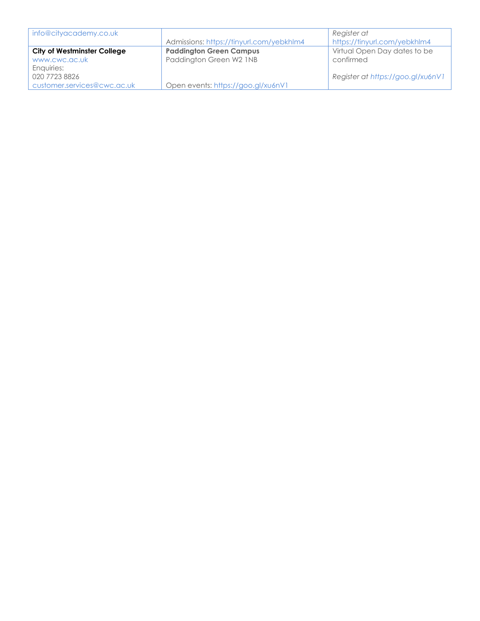| info@cityacademy.co.uk             |                                          | Register at                       |
|------------------------------------|------------------------------------------|-----------------------------------|
|                                    | Admissions: https://tinyurl.com/yebkhlm4 | https://tinyurl.com/yebkhlm4      |
| <b>City of Westminster College</b> | <b>Paddington Green Campus</b>           | Virtual Open Day dates to be      |
| www.cwc.ac.uk                      | Paddington Green W2 1NB                  | confirmed                         |
| Enquiries:                         |                                          |                                   |
| 020 7723 8826                      |                                          | Register at https://goo.gl/xu6nV1 |
| customer.services@cwc.ac.uk        | Open events: https://goo.gl/xu6nV1       |                                   |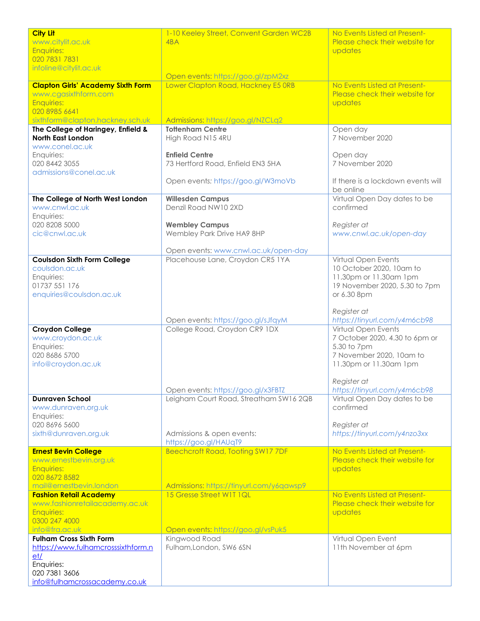| <b>City Lit</b>                          | 1-10 Keeley Street, Convent Garden WC2B  | No Events Listed at Present-       |
|------------------------------------------|------------------------------------------|------------------------------------|
| www.citylit.ac.uk                        | 4BA                                      | Please check their website for     |
| <b>Enquiries:</b>                        |                                          | updates                            |
| 020 7831 7831                            |                                          |                                    |
| infoline@citylit.ac.uk                   |                                          |                                    |
|                                          | Open events: https://goo.gl/zpM2xz       |                                    |
| <b>Clapton Girls' Academy Sixth Form</b> | Lower Clapton Road, Hackney E5 ORB       | No Events Listed at Present-       |
| www.cgasixthform.com                     |                                          | Please check their website for     |
| <b>Enquiries:</b>                        |                                          | updates                            |
| 020 8985 6641                            |                                          |                                    |
| sixthform@clapton.hackney.sch.uk         | Admissions: https://goo.gl/NZCLq2        |                                    |
| The College of Haringey, Enfield &       | <b>Tottenham Centre</b>                  | Open day                           |
| <b>North East London</b>                 | High Road N15 4RU                        | 7 November 2020                    |
| www.conel.ac.uk                          |                                          |                                    |
| Enquiries:                               | <b>Enfield Centre</b>                    | Open day                           |
| 020 8442 3055                            | 73 Hertford Road, Enfield EN3 5HA        | 7 November 2020                    |
| admissions@conel.ac.uk                   |                                          |                                    |
|                                          | Open events: https://goo.gl/W3moVb       | If there is a lockdown events will |
|                                          |                                          | be online                          |
| The College of North West London         | <b>Willesden Campus</b>                  | Virtual Open Day dates to be       |
| www.cnwl.ac.uk                           | Denzil Road NW10 2XD                     | confirmed                          |
| Enquiries:                               |                                          |                                    |
| 020 8208 5000                            | <b>Wembley Campus</b>                    | Register at                        |
| cic@cnwl.ac.uk                           | Wembley Park Drive HA9 8HP               | www.cnwl.ac.uk/open-day            |
|                                          |                                          |                                    |
|                                          | Open events: www.cnwl.ac.uk/open-day     |                                    |
| <b>Coulsdon Sixth Form College</b>       | Placehouse Lane, Croydon CR5 1YA         | Virtual Open Events                |
| coulsdon.ac.uk                           |                                          | 10 October 2020, 10am to           |
| Enquiries:                               |                                          | 11.30pm or 11.30am 1pm             |
| 01737 551 176                            |                                          | 19 November 2020, 5.30 to 7pm      |
| enquiries@coulsdon.ac.uk                 |                                          | or 6.30 8pm                        |
|                                          |                                          |                                    |
|                                          |                                          | Register at                        |
|                                          | Open events: https://goo.gl/sJfqyM       | https://tinyurl.com/y4m6cb98       |
| <b>Croydon College</b>                   | College Road, Croydon CR9 1DX            | Virtual Open Events                |
| www.croydon.ac.uk                        |                                          | 7 October 2020, 4.30 to 6pm or     |
| Enquiries:                               |                                          | 5.30 to 7pm                        |
| 020 8686 5700                            |                                          | 7 November 2020, 10am to           |
| info@croydon.ac.uk                       |                                          | 11.30pm or 11.30am 1pm             |
|                                          |                                          |                                    |
|                                          |                                          | Register at                        |
|                                          | Open events: https://goo.gl/x3FBTZ       | https://tinyurl.com/y4m6cb98       |
| <b>Dunraven School</b>                   | Leigham Court Road, Streatham SW16 2QB   | Virtual Open Day dates to be       |
| www.dunraven.org.uk                      |                                          | confirmed                          |
| Enquiries:                               |                                          |                                    |
| 020 8696 5600                            |                                          | Register at                        |
| sixth@dunraven.org.uk                    | Admissions & open events:                | https://tinyurl.com/y4nzo3xx       |
|                                          | https://goo.gl/HAUqT9                    |                                    |
| <b>Ernest Bevin College</b>              | Beechcroft Road, Tooting SW17 7DF        | No Events Listed at Present-       |
| www.ernestbevin.org.uk                   |                                          | Please check their website for     |
| <b>Enquiries:</b>                        |                                          | updates                            |
| 020 8672 8582                            |                                          |                                    |
| mail@ernestbevin.london                  | Admissions: https://tinyurl.com/y6qawsp9 |                                    |
| <b>Fashion Retail Academy</b>            | 15 Gresse Street W1T 1QL                 | No Events Listed at Present-       |
| www.fashionretailacademy.ac.uk           |                                          | Please check their website for     |
| <b>Enquiries:</b>                        |                                          | updates                            |
| 0300 247 4000                            |                                          |                                    |
| info@fra.ac.uk                           | Open events: https://goo.gl/vsPuk5       |                                    |
| <b>Fulham Cross Sixth Form</b>           | Kingwood Road                            | Virtual Open Event                 |
| https://www.fulhamcrosssixthform.n       | Fulham, London, SW6 6SN                  | 11th November at 6pm               |
| et/                                      |                                          |                                    |
| Enquiries:                               |                                          |                                    |
| 020 7381 3606                            |                                          |                                    |
| info@fulhamcrossacademy.co.uk            |                                          |                                    |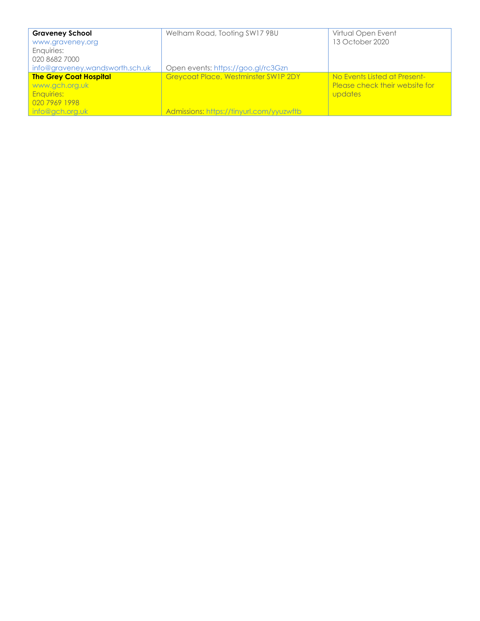| <b>Graveney School</b>          | Welham Road, Tooting SW17 9BU            | Virtual Open Event             |
|---------------------------------|------------------------------------------|--------------------------------|
| www.graveney.org                |                                          | 13 October 2020                |
| Enquiries:                      |                                          |                                |
| 020 8682 7000                   |                                          |                                |
| info@graveney.wandsworth.sch.uk | Open events: https://goo.gl/rc3Gzn       |                                |
| <b>The Grey Coat Hospital</b>   | Greycoat Place, Westminster SW1P 2DY     | No Events Listed at Present-   |
| www.gch.org.uk                  |                                          | Please check their website for |
| <b>Enquiries:</b>               |                                          | updates                        |
| 020 7969 1998                   |                                          |                                |
| info@gch.org.uk                 | Admissions: https://tinyurl.com/yyuzwftb |                                |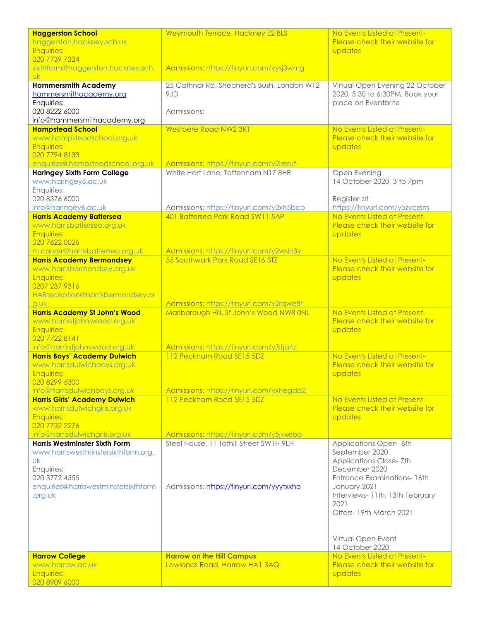| <b>Haggerston School</b>                                            | Weymouth Terrace, Hackney E2 8LS                  | No Events Listed at Present-                                       |
|---------------------------------------------------------------------|---------------------------------------------------|--------------------------------------------------------------------|
| haggerston.hackney.sch.uk<br><b>Enquiries:</b>                      |                                                   | Please check their website for<br>updates                          |
| 020 7739 7324                                                       |                                                   |                                                                    |
| sixthform@haggerston.hackney.sch.                                   | Admissions: https://tinyurl.com/yysj3wmg          |                                                                    |
| <b>Uk</b>                                                           |                                                   |                                                                    |
| <b>Hammersmith Academy</b><br>hammersmithacademy.org                | 25 Cathnor Rd, Shepherd's Bush, London W12<br>9JD | Virtual Open Evening 22 October<br>2020, 5:30 to 6:30PM. Book your |
| Enquiries:                                                          |                                                   | place on Eventbrite                                                |
| 020 8222 6000                                                       | Admissions:                                       |                                                                    |
| info@hammersmithacademy.org                                         |                                                   |                                                                    |
| <b>Hampstead School</b><br>www.hampsteadschool.org.uk               | <b>Westbere Road NW2 3RT</b>                      | No Events Listed at Present-<br>Please check their website for     |
| <b>Enquiries:</b>                                                   |                                                   | updates                                                            |
| 020 7794 8133                                                       |                                                   |                                                                    |
| enquiries@hampsteadschool.org.uk                                    | Admissions: https://tinyurl.com/y2lreruf          |                                                                    |
| <b>Haringey Sixth Form College</b>                                  | White Hart Lane, Tottenham N17 8HR                | Open Evening                                                       |
| www.haringey6.ac.uk<br>Enquiries:                                   |                                                   | 14 October 2020, 3 to 7pm                                          |
| 020 8376 6000                                                       |                                                   | Register at                                                        |
| info@haringey6.ac.uk                                                | Admissions: https://tinyurl.com/y2xh5bcp          | https://tinyurl.com/y5zyczsm                                       |
| <b>Harris Academy Battersea</b>                                     | 401 Battersea Park Road SW11 5AP                  | No Events Listed at Present-                                       |
| www.harrisbattersea.org.uk<br><b>Enquiries:</b>                     |                                                   | Please check their website for<br>updates                          |
| 020 7622 0026                                                       |                                                   |                                                                    |
| m.carver@harrisbattersea.org.uk                                     | Admissions: https://tinyurl.com/y2wslh3y          |                                                                    |
| <b>Harris Academy Bermondsey</b>                                    | 55 Southwark Park Road SE16 3TZ                   | No Events Listed at Present-                                       |
| www.harrisbermondsey.org.uk<br>Enquiries:                           |                                                   | Please check their website for<br>updates                          |
| 0207 237 9316                                                       |                                                   |                                                                    |
| HABreception@harrisbermondsey.or                                    |                                                   |                                                                    |
| g.wk                                                                | Admissions: https://tinyurl.com/y2rqwe8r          |                                                                    |
| <b>Harris Academy St John's Wood</b>                                | Marlborough Hill, St John's Wood NW8 ONL          | No Events Listed at Present-<br>Please check their website for     |
| www.harrisstjohnswood.org.uk<br><b>Enquiries:</b>                   |                                                   | updates                                                            |
| 020 7722 8141                                                       |                                                   |                                                                    |
| info@harrisstjohnswood.org.uk                                       | Admissions: https://tinyurl.com/y3ltja4z          |                                                                    |
| <b>Harris Boys' Academy Dulwich</b><br>www.harrisdulwichboys.org.uk | 112 Peckham Road SE15 5DZ                         | No Events Listed at Present-<br>Please check their website for     |
| <b>Enquiries:</b>                                                   |                                                   | updates                                                            |
| 020 8299 5300                                                       |                                                   |                                                                    |
| info@harrisdulwichboys.org.uk                                       | Admissions: https://tinyurl.com/yxhegda2          |                                                                    |
| <b>Harris Girls' Academy Dulwich</b>                                | 112 Peckham Road SE15 5DZ                         | No Events Listed at Present-<br>Please check their website for     |
| www.harrisdulwichgirls.org.uk<br>Enquiries:                         |                                                   | updates                                                            |
| 020 7732 2276                                                       |                                                   |                                                                    |
| info@harrisdulwichgirls.org.uk                                      | Admissions: https://tinyurl.com/y5jvxebo          |                                                                    |
| <b>Harris Westminster Sixth Form</b>                                | Steel House, 11 Tothill Street SW1H 9LH           | Applications Open-6th<br>September 2020                            |
| www.harriswestminstersixthform.org.<br>υk                           |                                                   | Applications Close-7th                                             |
| Enquiries:                                                          |                                                   | December 2020                                                      |
| 020 3772 4555                                                       |                                                   | Entrance Examinations- 16th                                        |
| enquiries@harriswestminstersixthform<br>.org.uk                     | Admissions: https://tinyurl.com/yyytxxho          | January 2021<br>Interviews-11th, 13th February                     |
|                                                                     |                                                   | 2021                                                               |
|                                                                     |                                                   | Offers-19th March 2021                                             |
|                                                                     |                                                   |                                                                    |
|                                                                     |                                                   | Virtual Open Event                                                 |
|                                                                     |                                                   | 14 October 2020                                                    |
| <b>Harrow College</b>                                               | <b>Harrow on the Hill Campus</b>                  | No Events Listed at Present-                                       |
| www.harrow.ac.uk                                                    | Lowlands Road, Harrow HA1 3AQ                     | Please check their website for                                     |
| <b>Enquiries:</b><br>020 8909 6000                                  |                                                   | updates                                                            |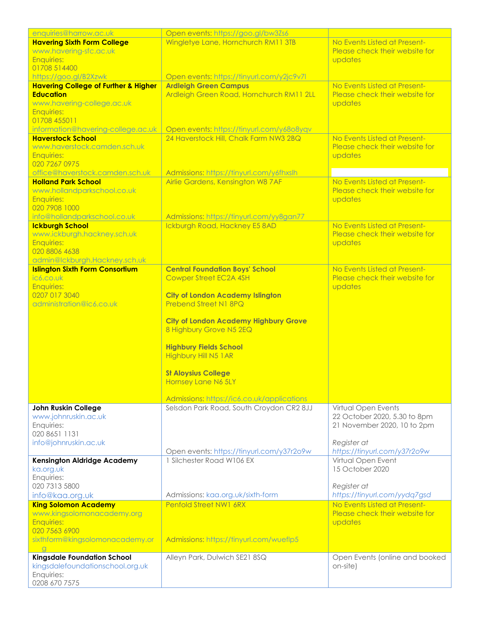| enquiries@harrow.ac.uk                                              | Open events: https://goo.gl/bw3Zs6                                       |                                                                |
|---------------------------------------------------------------------|--------------------------------------------------------------------------|----------------------------------------------------------------|
| <b>Havering Sixth Form College</b>                                  | Wingletye Lane, Hornchurch RM11 3TB                                      | No Events Listed at Present-                                   |
| www.havering-sfc.ac.uk                                              |                                                                          | Please check their website for                                 |
| <b>Enquiries:</b>                                                   |                                                                          | updates                                                        |
| 01708 514400                                                        |                                                                          |                                                                |
| https://goo.gl/B2Xzwk                                               | Open events: https://tinyurl.com/y2jc9v7l                                |                                                                |
| <b>Havering College of Further &amp; Higher</b><br><b>Education</b> | <b>Ardleigh Green Campus</b><br>Ardleigh Green Road, Hornchurch RM11 2LL | No Events Listed at Present-<br>Please check their website for |
| www.havering-college.ac.uk                                          |                                                                          | updates                                                        |
| <b>Enquiries:</b>                                                   |                                                                          |                                                                |
| 01708 455011                                                        |                                                                          |                                                                |
| information@havering-college.ac.uk                                  | Open events: https://tinyurl.com/y68o8yqv                                |                                                                |
| <b>Haverstock School</b>                                            | 24 Haverstock Hill, Chalk Farm NW3 2BQ                                   | No Events Listed at Present-                                   |
| www.haverstock.camden.sch.uk                                        |                                                                          | Please check their website for                                 |
| <b>Enquiries:</b>                                                   |                                                                          | updates                                                        |
| 020 7267 0975                                                       |                                                                          |                                                                |
| office@haverstock.camden.sch.uk                                     | Admissions: https://tinyurl.com/y6fhxslh                                 |                                                                |
| <b>Holland Park School</b>                                          | Airlie Gardens, Kensington W8 7AF                                        | No Events Listed at Present-                                   |
| www.hollandparkschool.co.uk                                         |                                                                          | Please check their website for                                 |
| Enquiries:                                                          |                                                                          | updates                                                        |
| 020 7908 1000                                                       |                                                                          |                                                                |
| info@hollandparkschool.co.uk                                        | Admissions: https://tinyurl.com/yy8gan77                                 | No Events Listed at Present-                                   |
| <b>Ickburgh School</b><br>www.ickburgh.hackney.sch.uk               | Ickburgh Road, Hackney E5 8AD                                            | Please check their website for                                 |
| <b>Enquiries:</b>                                                   |                                                                          | updates                                                        |
| 020 8806 4638                                                       |                                                                          |                                                                |
| admin@lckburgh.Hackney.sch.uk                                       |                                                                          |                                                                |
| <b>Islington Sixth Form Consortium</b>                              | <b>Central Foundation Boys' School</b>                                   | No Events Listed at Present-                                   |
| ic6.co.uk                                                           | Cowper Street EC2A 4SH                                                   | Please check their website for                                 |
| <b>Enquiries:</b>                                                   |                                                                          | updates                                                        |
| 0207 017 3040                                                       | <b>City of London Academy Islington</b>                                  |                                                                |
| administration@ic6.co.uk                                            | Prebend Street N1 8PQ                                                    |                                                                |
|                                                                     |                                                                          |                                                                |
|                                                                     | <b>City of London Academy Highbury Grove</b>                             |                                                                |
|                                                                     | 8 Highbury Grove N5 2EQ                                                  |                                                                |
|                                                                     |                                                                          |                                                                |
|                                                                     | <b>Highbury Fields School</b>                                            |                                                                |
|                                                                     | <b>Highbury Hill N5 1 AR</b>                                             |                                                                |
|                                                                     |                                                                          |                                                                |
|                                                                     | <b>St Aloysius College</b>                                               |                                                                |
|                                                                     | <b>Hornsey Lane N6 5LY</b>                                               |                                                                |
|                                                                     | Admissions: https://ic6.co.uk/applications                               |                                                                |
| John Ruskin College                                                 | Selsdon Park Road, South Croydon CR2 8JJ                                 | Virtual Open Events                                            |
| www.johnruskin.ac.uk                                                |                                                                          | 22 October 2020, 5.30 to 8pm                                   |
| Enquiries:                                                          |                                                                          | 21 November 2020, 10 to 2pm                                    |
| 020 8651 1131                                                       |                                                                          |                                                                |
| info@johnruskin.ac.uk                                               |                                                                          | Register at                                                    |
|                                                                     | Open events: https://tinyurl.com/y37r2o9w                                | https://tinyurl.com/y37r2o9w                                   |
| <b>Kensington Aldridge Academy</b>                                  | 1 Silchester Road W106 EX                                                | Virtual Open Event                                             |
| ka.org.uk                                                           |                                                                          | 15 October 2020                                                |
| Enquiries:                                                          |                                                                          |                                                                |
| 020 7313 5800                                                       |                                                                          | Register at                                                    |
| info@kaa.org.uk                                                     | Admissions: kaa.org.uk/sixth-form                                        | https://tinyurl.com/yydq7gsd                                   |
| <b>King Solomon Academy</b>                                         | Penfold Street NW1 6RX                                                   | No Events Listed at Present-                                   |
| www.kingsolomonacademy.org                                          |                                                                          | Please check their website for                                 |
| <b>Enquiries:</b>                                                   |                                                                          | updates                                                        |
| 020 7563 6900                                                       |                                                                          |                                                                |
| sixthform@kingsolomonacademy.or                                     | Admissions: https://tinyurl.com/wueflp5                                  |                                                                |
| $\mathbf{q}$                                                        |                                                                          |                                                                |
| <b>Kingsdale Foundation School</b>                                  | Alleyn Park, Dulwich SE21 8SQ                                            | Open Events (online and booked                                 |
| kingsdalefoundationschool.org.uk                                    |                                                                          | on-site)                                                       |
| Enquiries:<br>0208 670 7575                                         |                                                                          |                                                                |
|                                                                     |                                                                          |                                                                |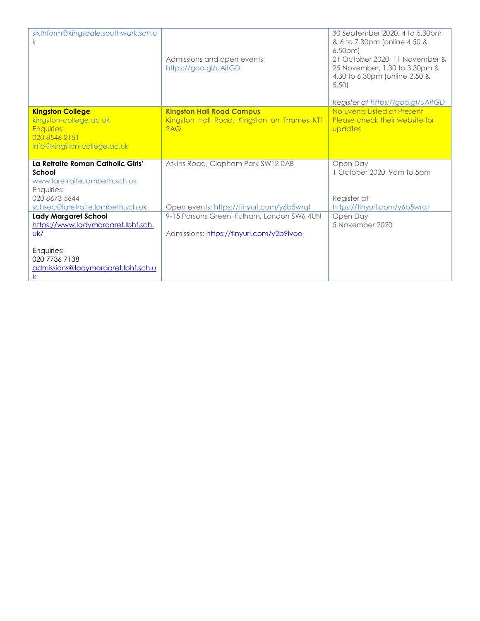| sixthform@kingsdale.southwark.sch.u<br>k.                         | Admissions and open events:<br>https://goo.gl/uAitGD | 30 September 2020, 4 to 5.30pm<br>& 6 to 7.30pm (online 4.50 &<br>6.50 <sub>pm</sub><br>21 October 2020, 11 November &<br>25 November, 1.30 to 3.30pm &<br>4.30 to 6.30pm (online 2.50 &<br>5.50<br>Register at https://goo.gl/uAitGD |
|-------------------------------------------------------------------|------------------------------------------------------|---------------------------------------------------------------------------------------------------------------------------------------------------------------------------------------------------------------------------------------|
| <b>Kingston College</b>                                           | <b>Kingston Hall Road Campus</b>                     | No Events Listed at Present-                                                                                                                                                                                                          |
| kingston-college.ac.uk<br><b>Enquiries:</b>                       | Kingston Hall Road, Kingston on Thames KT1<br>2AO    | Please check their website for<br>updates                                                                                                                                                                                             |
| 020 8546 2151                                                     |                                                      |                                                                                                                                                                                                                                       |
| info@kingston-college.ac.uk                                       |                                                      |                                                                                                                                                                                                                                       |
| La Retraite Roman Catholic Girls'                                 |                                                      |                                                                                                                                                                                                                                       |
| School                                                            | Atkins Road, Clapham Park SW120AB                    | Open Day<br>1 October 2020, 9am to 5pm                                                                                                                                                                                                |
| www.laretraite.lambeth.sch.uk                                     |                                                      |                                                                                                                                                                                                                                       |
| Enquiries:                                                        |                                                      |                                                                                                                                                                                                                                       |
| 020 8673 5644                                                     | Open events: https://tinyurl.com/y6b5wrqt            | Register at                                                                                                                                                                                                                           |
| schsec@laretraite.lambeth.sch.uk                                  |                                                      |                                                                                                                                                                                                                                       |
|                                                                   |                                                      | https://tinyurl.com/y6b5wrqt                                                                                                                                                                                                          |
| <b>Lady Margaret School</b>                                       | 9-15 Parsons Green, Fulham, London SW6 4UN           | Open Day<br>5 November 2020                                                                                                                                                                                                           |
| https://www.ladymargaret.lbhf.sch.<br>uk/                         | Admissions: https://tinyurl.com/y2p9lvoo             |                                                                                                                                                                                                                                       |
| Enquiries:<br>020 7736 7138<br>admissions@ladymargaret.lbhf.sch.u |                                                      |                                                                                                                                                                                                                                       |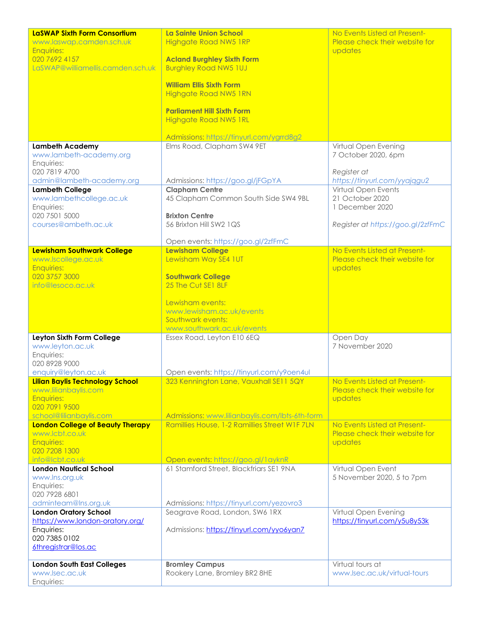| LaSWAP Sixth Form Consortium              | La Sainte Union School                                     | No Events Listed at Present-                        |
|-------------------------------------------|------------------------------------------------------------|-----------------------------------------------------|
| www.laswap.camden.sch.uk                  | <b>Highgate Road NW5 1RP</b>                               | Please check their website for                      |
| <b>Enquiries:</b>                         |                                                            | updates                                             |
| 020 7692 4157                             | <b>Acland Burghley Sixth Form</b>                          |                                                     |
| LaSWAP@williamellis.camden.sch.uk         | <b>Burghley Road NW5 1UJ</b>                               |                                                     |
|                                           |                                                            |                                                     |
|                                           | <b>William Ellis Sixth Form</b>                            |                                                     |
|                                           | <b>Highgate Road NW5 1RN</b>                               |                                                     |
|                                           |                                                            |                                                     |
|                                           | <b>Parliament Hill Sixth Form</b>                          |                                                     |
|                                           | <b>Highgate Road NW5 1RL</b>                               |                                                     |
|                                           |                                                            |                                                     |
|                                           | Admissions: https://tinyurl.com/ygrrd8g2                   |                                                     |
| <b>Lambeth Academy</b>                    | Elms Road, Clapham SW4 9ET                                 | Virtual Open Evening                                |
| www.lambeth-academy.org                   |                                                            | 7 October 2020, 6pm                                 |
| Enquiries:<br>020 7819 4700               |                                                            |                                                     |
| admin@lambeth-academy.org                 |                                                            | Register at                                         |
| <b>Lambeth College</b>                    | Admissions: https://goo.gl/jFGpYA<br><b>Clapham Centre</b> | https://tinyurl.com/yyajqgu2<br>Virtual Open Events |
| www.lambethcollege.ac.uk                  | 45 Clapham Common South Side SW4 9BL                       | 21 October 2020                                     |
| Enquiries:                                |                                                            | 1 December 2020                                     |
| 020 7501 5000                             | <b>Brixton Centre</b>                                      |                                                     |
| courses@ambeth.ac.uk                      | 56 Brixton Hill SW2 1QS                                    | Register at https://goo.gl/2zfFmC                   |
|                                           |                                                            |                                                     |
|                                           | Open events: https://goo.gl/2zfFmC                         |                                                     |
| <b>Lewisham Southwark College</b>         | <b>Lewisham College</b>                                    | No Events Listed at Present-                        |
| www.lscollege.ac.uk                       | Lewisham Way SE4 1UT                                       | Please check their website for                      |
| <b>Enquiries:</b>                         |                                                            | updates                                             |
| 020 3757 3000                             | <b>Southwark College</b>                                   |                                                     |
| info@lesoco.ac.uk                         | 25 The Cut SE1 8LF                                         |                                                     |
|                                           |                                                            |                                                     |
|                                           | Lewisham events:                                           |                                                     |
|                                           | www.lewisham.ac.uk/events                                  |                                                     |
|                                           | Southwark events:                                          |                                                     |
|                                           | www.southwark.ac.uk/events                                 |                                                     |
| Leyton Sixth Form College                 | Essex Road, Leyton E10 6EQ                                 | Open Day                                            |
| www.leyton.ac.uk                          |                                                            | 7 November 2020                                     |
| Enquiries:                                |                                                            |                                                     |
| 020 8928 9000                             |                                                            |                                                     |
| enquiry@leyton.ac.uk                      | Open events: https://tinyurl.com/y9oen4ul                  |                                                     |
| Lilian Baylis Technology School           | 323 Kennington Lane, Vauxhall SE11 5QY                     | No Events Listed at Present-                        |
| www.lilianbaylis.com<br><b>Enquiries:</b> |                                                            | Please check their website for                      |
| 020 7091 9500                             |                                                            | updates                                             |
| school@lilianbaylis.com                   | Admissions: www.lilianbaylis.com/lbts-6th-form             |                                                     |
| <b>London College of Beauty Therapy</b>   | Ramillies House, 1-2 Ramillies Street W1F 7LN              | No Events Listed at Present-                        |
| www.lcbt.co.uk                            |                                                            | Please check their website for                      |
| <b>Enquiries:</b>                         |                                                            | updates                                             |
| 020 7208 1300                             |                                                            |                                                     |
| info@lcbt.co.uk                           | Open events: https://goo.gl/1ayknR                         |                                                     |
| <b>London Nautical School</b>             | 61 Stamford Street, Blackfriars SE1 9NA                    | Virtual Open Event                                  |
| www.lns.org.uk                            |                                                            | 5 November 2020, 5 to 7pm                           |
| Enquiries:                                |                                                            |                                                     |
| 020 7928 6801                             |                                                            |                                                     |
| adminteam@Ins.org.uk                      | Admissions: https://tinyurl.com/yezovro3                   |                                                     |
| <b>London Oratory School</b>              | Seagrave Road, London, SW6 1RX                             | Virtual Open Evening                                |
| https://www.london-oratory.org/           |                                                            | https://tinyurl.com/y5u8y53k                        |
| Enquiries:                                | Admissions: https://tinyurl.com/yyo6yan7                   |                                                     |
| 020 7385 0102                             |                                                            |                                                     |
| 6thregistrar@los.ac                       |                                                            |                                                     |
|                                           |                                                            |                                                     |
| <b>London South East Colleges</b>         | <b>Bromley Campus</b>                                      | Virtual tours at                                    |
| www.lsec.ac.uk<br>Enquiries:              | Rookery Lane, Bromley BR2 8HE                              | www.lsec.ac.uk/virtual-tours                        |
|                                           |                                                            |                                                     |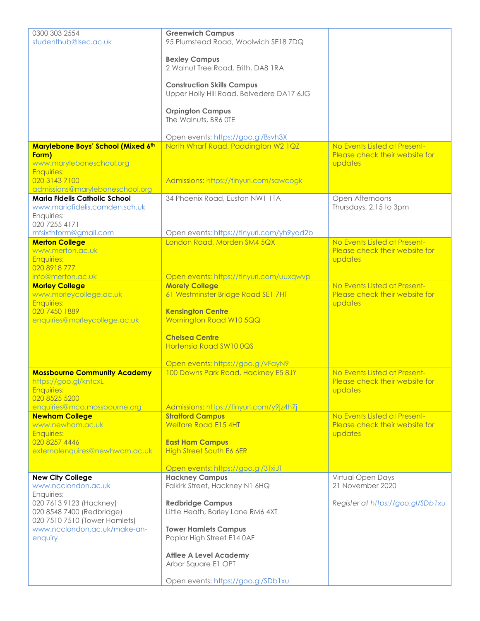| 0300 303 2554<br>studenthub@lsec.ac.uk                                                                                                                     | <b>Greenwich Campus</b><br>95 Plumstead Road, Woolwich SE18 7DQ                                                               |                                                                           |
|------------------------------------------------------------------------------------------------------------------------------------------------------------|-------------------------------------------------------------------------------------------------------------------------------|---------------------------------------------------------------------------|
|                                                                                                                                                            | <b>Bexley Campus</b><br>2 Walnut Tree Road, Erith, DA8 1RA                                                                    |                                                                           |
|                                                                                                                                                            | <b>Construction Skills Campus</b><br>Upper Holly Hill Road, Belvedere DA17 6JG                                                |                                                                           |
|                                                                                                                                                            | <b>Orpington Campus</b><br>The Walnuts, BR6 OTE                                                                               |                                                                           |
|                                                                                                                                                            | Open events: https://goo.gl/Bsvh3X                                                                                            |                                                                           |
| Marylebone Boys' School (Mixed 6th<br>Form)<br>www.maryleboneschool.org                                                                                    | North Wharf Road, Paddington W2 1QZ                                                                                           | No Events Listed at Present-<br>Please check their website for<br>updates |
| <b>Enquiries:</b><br>020 3143 7100                                                                                                                         | Admissions: https://tinyurl.com/sawcogk                                                                                       |                                                                           |
| admissions@maryleboneschool.org<br><b>Maria Fidelis Catholic School</b><br>www.mariafidelis.camden.sch.uk<br>Enquiries:<br>020 7255 4171                   | 34 Phoenix Road, Euston NW1 1TA                                                                                               | Open Afternoons<br>Thursdays, 2.15 to 3pm                                 |
| mfsixthform@gmail.com                                                                                                                                      | Open events: https://tinyurl.com/yh9yod2b                                                                                     |                                                                           |
| <b>Merton College</b><br>www.merton.ac.uk<br><b>Enquiries:</b>                                                                                             | London Road, Morden SM4 5QX                                                                                                   | No Events Listed at Present-<br>Please check their website for<br>updates |
| 020 8918 777                                                                                                                                               |                                                                                                                               |                                                                           |
| info@merton.ac.uk                                                                                                                                          | Open events: https://tinyurl.com/uuxqwvp                                                                                      |                                                                           |
| <b>Morley College</b><br>www.morleycollege.ac.uk<br><b>Enquiries:</b><br>020 7450 1889                                                                     | <b>Morely College</b><br>61 Westminster Bridge Road SE1 7HT<br><b>Kensington Centre</b>                                       | No Events Listed at Present-<br>Please check their website for<br>updates |
| enquiries@morleycollege.ac.uk                                                                                                                              | Wornington Road W10 5QQ<br><b>Chelsea Centre</b>                                                                              |                                                                           |
|                                                                                                                                                            | Hortensia Road SW100QS                                                                                                        |                                                                           |
|                                                                                                                                                            | Open events: https://goo.gl/vFayN9                                                                                            |                                                                           |
| <b>Mossbourne Community Academy</b><br>https://goo.gl/kntcxL<br><b>Enquiries:</b><br>020 8525 5200                                                         | 100 Downs Park Road, Hackney E5 8JY                                                                                           | No Events Listed at Present-<br>Please check their website for<br>updates |
| enquiries@mca.mossbourne.org                                                                                                                               | Admissions: https://tinyurl.com/y9jz4h7j                                                                                      |                                                                           |
| <b>Newham College</b><br>www.newham.ac.uk<br><b>Enquiries:</b>                                                                                             | <b>Stratford Campus</b><br><b>Welfare Road E15 4HT</b>                                                                        | No Events Listed at Present-<br>Please check their website for<br>updates |
| 020 8257 4446<br>externalenquires@newhwam.ac.uk                                                                                                            | <b>East Ham Campus</b><br><b>High Street South E6 6ER</b>                                                                     |                                                                           |
|                                                                                                                                                            | Open events: https://goo.gl/3TxiJT                                                                                            |                                                                           |
| <b>New City College</b>                                                                                                                                    | <b>Hackney Campus</b>                                                                                                         | Virtual Open Days                                                         |
| www.ncclondon.ac.uk<br>Enquiries:<br>020 7613 9123 (Hackney)<br>020 8548 7400 (Redbridge)<br>020 7510 7510 (Tower Hamlets)<br>www.ncclondon.ac.uk/make-an- | Falkirk Street, Hackney N1 6HQ<br><b>Redbridge Campus</b><br>Little Heath, Barley Lane RM6 4XT<br><b>Tower Hamlets Campus</b> | 21 November 2020<br>Register at https://goo.gl/SDb1xu                     |
| enquiry                                                                                                                                                    | Poplar High Street E14 0AF<br><b>Attlee A Level Academy</b>                                                                   |                                                                           |
|                                                                                                                                                            | Arbor Square E1 OPT                                                                                                           |                                                                           |
|                                                                                                                                                            | Open events: https://goo.gl/SDb1xu                                                                                            |                                                                           |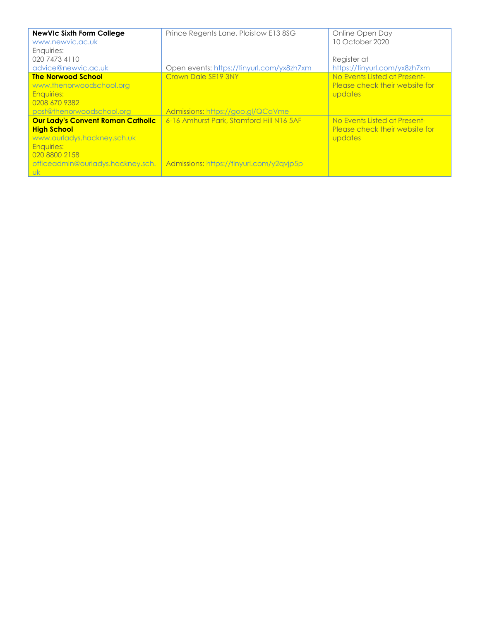| <b>NewVIc Sixth Form College</b><br>www.newvic.ac.uk<br>Enquiries:<br>020 7473 4110<br>advice@newvic.ac.uk                                                                            | Prince Regents Lane, Plaistow E13 8SG<br>Open events: https://tinyurl.com/yx8zh7xm   | Online Open Day<br>10 October 2020<br>Register at<br>https://tinyurl.com/yx8zh7xm |
|---------------------------------------------------------------------------------------------------------------------------------------------------------------------------------------|--------------------------------------------------------------------------------------|-----------------------------------------------------------------------------------|
| <b>The Norwood School</b><br>www.thenorwoodschool.org<br><b>Enauiries:</b><br>0208 670 9382<br>post@thenorwoodschool.org                                                              | Crown Dale SE19 3NY<br>Admissions: https://goo.gl/QCaVme                             | No Events Listed at Present-<br>Please check their website for<br>updates         |
| <b>Our Lady's Convent Roman Catholic</b><br><b>High School</b><br>www.ourladys.hackney.sch.uk<br><b>Enquiries:</b><br>020 8800 2158<br>officeadmin@ourladys.hackney.sch.<br><b>Uk</b> | 6-16 Amhurst Park, Stamford Hill N16 5AF<br>Admissions: https://tinyurl.com/y2qvjp5p | No Events Listed at Present-<br>Please check their website for<br>updates         |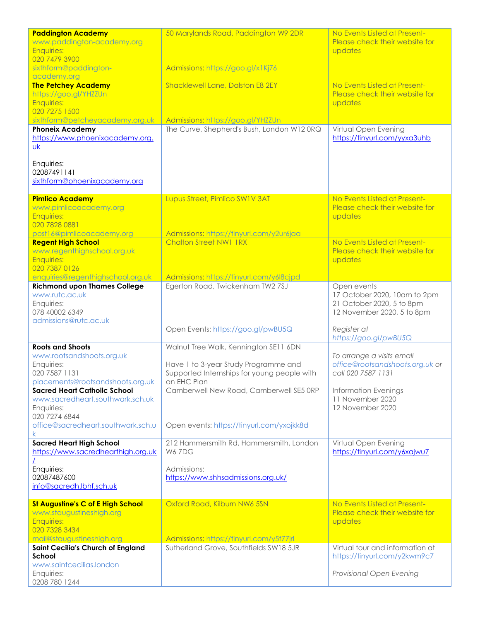| <b>Paddington Academy</b><br>www.paddington-academy.org<br><b>Enquiries:</b>                                                                 | 50 Marylands Road, Paddington W9 2DR                                                                                                        | No Events Listed at Present-<br>Please check their website for<br>updates                              |
|----------------------------------------------------------------------------------------------------------------------------------------------|---------------------------------------------------------------------------------------------------------------------------------------------|--------------------------------------------------------------------------------------------------------|
| 020 7479 3900<br>sixthform@paddington-                                                                                                       | Admissions: https://goo.gl/x1Kj76                                                                                                           |                                                                                                        |
| academy.org<br><b>The Petchey Academy</b><br>https://goo.gl/YHZZUn                                                                           | Shacklewell Lane, Dalston E8 2EY                                                                                                            | No Events Listed at Present-<br>Please check their website for                                         |
| <b>Enquiries:</b><br>020 7275 1500                                                                                                           |                                                                                                                                             | updates                                                                                                |
| sixthform@petcheyacademy.org.uk<br><b>Phoneix Academy</b><br>https://www.phoenixacademy.org.<br>$\underline{uk}$                             | Admissions: https://goo.gl/YHZZUn<br>The Curve, Shepherd's Bush, London W12 ORQ                                                             | Virtual Open Evening<br>https://tinyurl.com/yyxa3uhb                                                   |
| Enquiries:<br>02087491141<br>sixthform@phoenixacademy.org                                                                                    |                                                                                                                                             |                                                                                                        |
| <b>Pimlico Academy</b><br>www.pimlicoacademy.org<br><b>Enquiries:</b><br>020 7828 0881                                                       | Lupus Street, Pimlico SW1V 3AT                                                                                                              | No Events Listed at Present-<br>Please check their website for<br>updates                              |
| post16@pimlicoacademy.org<br><b>Regent High School</b><br>www.regenthighschool.org.uk<br><b>Enquiries:</b><br>020 7387 0126                  | Admissions: https://tinyurl.com/y2ur6jaa<br><b>Chalton Street NW1 1RX</b>                                                                   | No Events Listed at Present-<br>Please check their website for<br>updates                              |
| enquiries@regenthighschool.org.uk                                                                                                            | Admissions: https://tinyurl.com/y6l8cjpd                                                                                                    |                                                                                                        |
| <b>Richmond upon Thames College</b><br>www.rutc.ac.uk<br>Enquiries:<br>078 40002 6349<br>admissions@rutc.ac.uk                               | Egerton Road, Twickenham TW2 7SJ                                                                                                            | Open events<br>17 October 2020, 10am to 2pm<br>21 October 2020, 5 to 8pm<br>12 November 2020, 5 to 8pm |
|                                                                                                                                              | Open Events: https://goo.gl/pwBU5Q                                                                                                          | Register at<br>https://goo.gl/pwBU5Q                                                                   |
| <b>Roots and Shoots</b><br>www.rootsandshoots.org.uk<br>Enquiries:<br>020 7587 1131<br>placements@rootsandshoots.org.uk                      | Walnut Tree Walk, Kennington SE11 6DN<br>Have 1 to 3-year Study Programme and<br>Supported Internships for young people with<br>an EHC Plan | To arrange a visits email<br>office@rootsandshoots.org.uk or<br>call 020 7587 1131                     |
| <b>Sacred Heart Catholic School</b><br>www.sacredheart.southwark.sch.uk<br>Enquiries:<br>020 7274 6844<br>office@sacredheart.southwark.sch.u | Camberwell New Road, Camberwell SE5 ORP<br>Open events: https://tinyurl.com/yxojkk8d                                                        | <b>Information Evenings</b><br>11 November 2020<br>12 November 2020                                    |
| <b>Sacred Heart High School</b><br>https://www.sacredhearthigh.org.uk                                                                        | 212 Hammersmith Rd, Hammersmith, London<br><b>W67DG</b>                                                                                     | Virtual Open Evening<br>https://tinyurl.com/y6xajwu7                                                   |
| Enquiries:<br>02087487600<br>info@sacredh.lbhf.sch.uk                                                                                        | Admissions:<br>https://www.shhsadmissions.org.uk/                                                                                           |                                                                                                        |
| St Augustine's C of E High School<br>www.staugustineshigh.org<br><b>Enquiries:</b><br>020 7328 3434                                          | Oxford Road, Kilburn NW6 5SN                                                                                                                | No Events Listed at Present-<br>Please check their website for<br>updates                              |
| mail@staugustineshigh.org<br>Saint Cecilia's Church of England<br>School<br>www.saintcecilias.london<br>Enquiries:<br>0208 780 1244          | Admissions: https://tinyurl.com/y5f77jrl<br>Sutherland Grove, Southfields SW18 5JR                                                          | Virtual tour and information at<br>https://tinyurl.com/y2kwm9c7<br>Provisional Open Evening            |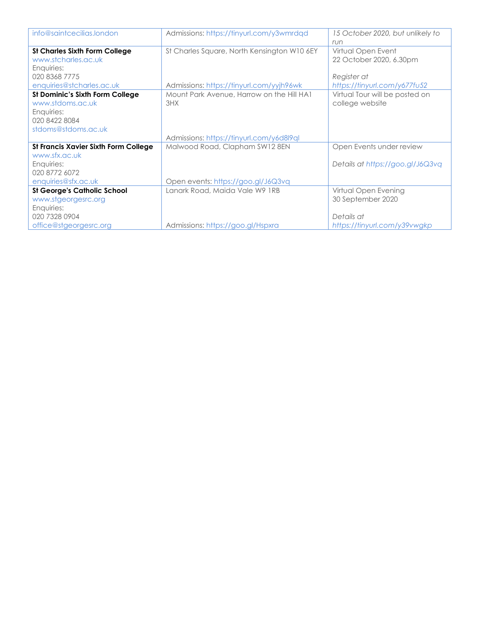| info@saintcecilias.london            | Admissions: https://tinyurl.com/y3wmrdqd    | 15 October 2020, but unlikely to |
|--------------------------------------|---------------------------------------------|----------------------------------|
|                                      |                                             | run                              |
| <b>St Charles Sixth Form College</b> | St Charles Square, North Kensington W10 6EY | Virtual Open Event               |
| www.stcharles.ac.uk                  |                                             | 22 October 2020, 6.30pm          |
| Enquiries:                           |                                             |                                  |
| 020 8368 7775                        |                                             | Register at                      |
| enquiries@stcharles.ac.uk            | Admissions: https://tinyurl.com/yyjh96wk    | https://tinyurl.com/y677fu52     |
| St Dominic's Sixth Form College      | Mount Park Avenue, Harrow on the Hill HA1   | Virtual Tour will be posted on   |
| www.stdoms.ac.uk                     | 3HX                                         | college website                  |
| Enquiries:                           |                                             |                                  |
| 020 8422 8084                        |                                             |                                  |
| stdoms@stdoms.ac.uk                  |                                             |                                  |
|                                      | Admissions: https://tinyurl.com/y6d8l9ql    |                                  |
| St Francis Xavier Sixth Form College | Malwood Road, Clapham SW12 8EN              | Open Events under review         |
| www.sfx.ac.uk                        |                                             |                                  |
| Enquiries:                           |                                             | Details at https://goo.gl/J6Q3vq |
| 020 8772 6072                        |                                             |                                  |
| enquiries@sfx.ac.uk                  | Open events: https://goo.gl/J6Q3vq          |                                  |
| <b>St George's Catholic School</b>   | Lanark Road, Maida Vale W9 1RB              | Virtual Open Evening             |
| www.stgeorgesrc.org                  |                                             | 30 September 2020                |
| Enquiries:                           |                                             |                                  |
| 020 7328 0904                        |                                             | Details at                       |
| office@stgeorgesrc.org               | Admissions: https://goo.gl/Hspxra           | https://tinyurl.com/y39vwgkp     |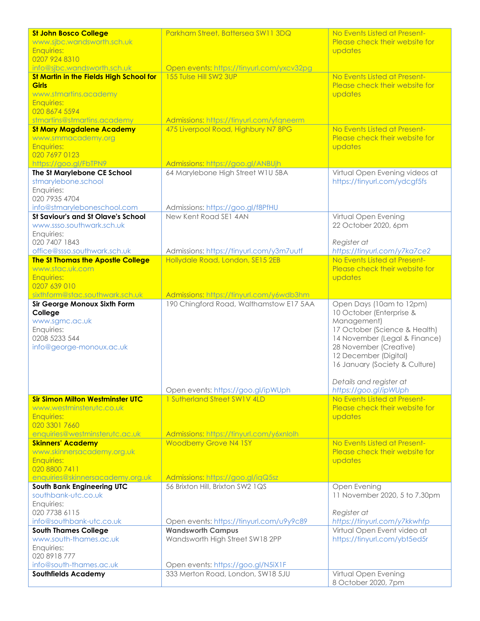| <b>St John Bosco College</b>                                             | Parkham Street, Battersea SW11 3DQ                                    | No Events Listed at Present-                    |
|--------------------------------------------------------------------------|-----------------------------------------------------------------------|-------------------------------------------------|
| www.sjbc.wandsworth.sch.uk                                               |                                                                       | Please check their website for                  |
| <b>Enquiries:</b>                                                        |                                                                       | updates                                         |
| 0207 924 8310                                                            |                                                                       |                                                 |
| info@sjbc.wandsworth.sch.uk<br>St Martin in the Fields High School for   | Open events: https://tinyurl.com/yxcv32pg<br>155 Tulse Hill SW2 3UP   | No Events Listed at Present-                    |
| <b>Girls</b>                                                             |                                                                       | Please check their website for                  |
| www.stmartins.academy                                                    |                                                                       | updates                                         |
| <b>Enquiries:</b>                                                        |                                                                       |                                                 |
| 020 8674 5594                                                            |                                                                       |                                                 |
| stmartins@stmartins.academy                                              | Admissions: https://tinyurl.com/yfqneerm                              |                                                 |
| <b>St Mary Magdalene Academy</b>                                         | 475 Liverpool Road, Highbury N7 8PG                                   | No Events Listed at Present-                    |
| www.smmacademy.org                                                       |                                                                       | Please check their website for                  |
| <b>Enquiries:</b><br>020 7697 0123                                       |                                                                       | updates                                         |
| https://goo.gl/FbTPN9                                                    | Admissions: https://goo.gl/ANBUjh                                     |                                                 |
| The St Marylebone CE School                                              | 64 Marylebone High Street W1U 5BA                                     | Virtual Open Evening videos at                  |
| stmarylebone.school                                                      |                                                                       | https://tinyurl.com/ydcgf5fs                    |
| Enquiries:                                                               |                                                                       |                                                 |
| 020 7935 4704                                                            |                                                                       |                                                 |
| info@stmaryleboneschool.com<br><b>St Saviour's and St Olave's School</b> | Admissions: https://goo.gl/f8PfHU                                     |                                                 |
| www.ssso.southwark.sch.uk                                                | New Kent Road SE1 4AN                                                 | Virtual Open Evening<br>22 October 2020, 6pm    |
| Enquiries:                                                               |                                                                       |                                                 |
| 020 7407 1843                                                            |                                                                       | Register at                                     |
| office@ssso.southwark.sch.uk                                             | Admissions: https://tinyurl.com/y3m7uutf                              | https://tinyurl.com/y7ka7ce2                    |
| <b>The St Thomas the Apostle College</b>                                 | Hollydale Road, London, SE15 2EB                                      | No Events Listed at Present-                    |
| www.stac.uk.com                                                          |                                                                       | Please check their website for                  |
| <b>Enquiries:</b>                                                        |                                                                       | updates                                         |
| 0207 639 010<br>sixthform@stac.southwark.sch.uk                          | Admissions: https://tinyurl.com/y6wdb3hm                              |                                                 |
| Sir George Monoux Sixth Form                                             | 190 Chingford Road, Walthamstow E17 5AA                               | Open Days (10am to 12pm)                        |
| College                                                                  |                                                                       | 10 October (Enterprise &                        |
| www.sgmc.ac.uk                                                           |                                                                       | Management)                                     |
| Enquiries:                                                               |                                                                       | 17 October (Science & Health)                   |
| 0208 5233 544                                                            |                                                                       | 14 November (Legal & Finance)                   |
| info@george-monoux.ac.uk                                                 |                                                                       | 28 November (Creative)<br>12 December (Digital) |
|                                                                          |                                                                       | 16 January (Society & Culture)                  |
|                                                                          |                                                                       |                                                 |
|                                                                          |                                                                       | Details and register at                         |
|                                                                          | Open events: https://goo.gl/ipWUph                                    | https://goo.gl/ipWUph                           |
| <b>Sir Simon Milton Westminster UTC</b>                                  | 1 Sutherland Street SW1V 4LD                                          | No Events Listed at Present-                    |
| www.westminsterutc.co.uk<br><b>Enquiries:</b>                            |                                                                       | Please check their website for<br>updates       |
| 020 3301 7660                                                            |                                                                       |                                                 |
| enquiries@westminsterutc.ac.uk                                           | Admissions: https://tinyurl.com/y6xnlolh                              |                                                 |
| <b>Skinners' Academy</b>                                                 | <b>Woodberry Grove N4 1SY</b>                                         | No Events Listed at Present-                    |
| www.skinnersacademy.org.uk                                               |                                                                       | Please check their website for                  |
| <b>Enquiries:</b>                                                        |                                                                       | updates                                         |
| 020 8800 7411                                                            |                                                                       |                                                 |
| enquiries@skinnersacademy.org.uk<br><b>South Bank Engineering UTC</b>    | Admissions: https://goo.gl/iqQ5sz<br>56 Brixton Hill, Brixton SW2 1QS | Open Evening                                    |
| southbank-utc.co.uk                                                      |                                                                       | 11 November 2020, 5 to 7.30pm                   |
| Enquiries:                                                               |                                                                       |                                                 |
| 020 7738 6115                                                            |                                                                       | Register at                                     |
| info@southbank-utc.co.uk                                                 | Open events: https://tinyurl.com/u9y9c89                              | https://tinyurl.com/y7kkwhfp                    |
| <b>South Thames College</b>                                              | <b>Wandsworth Campus</b>                                              | Virtual Open Event video at                     |
| www.south-thames.ac.uk                                                   | Wandsworth High Street SW18 2PP                                       | https://tinyurl.com/ybt5ed5r                    |
| Enquiries:<br>020 8918 777                                               |                                                                       |                                                 |
| info@south-thames.ac.uk                                                  | Open events: https://goo.gl/N5iX1F                                    |                                                 |
| <b>Southfields Academy</b>                                               | 333 Merton Road, London, SW18 5JU                                     | Virtual Open Evening                            |
|                                                                          |                                                                       | 8 October 2020, 7pm                             |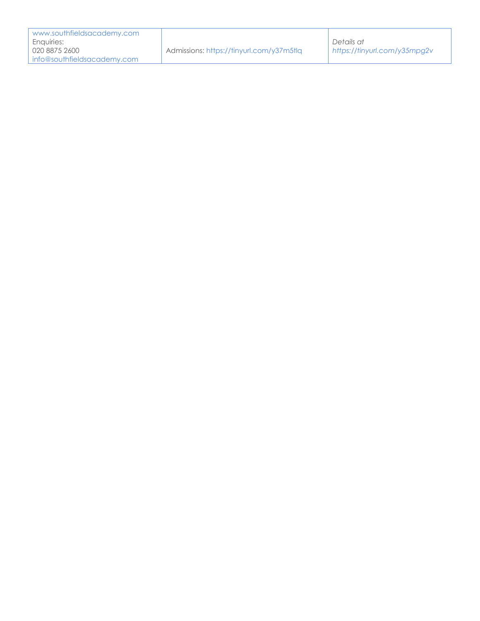| www.southfieldsacademy.com  |                                          |                              |
|-----------------------------|------------------------------------------|------------------------------|
| Enauiries:                  |                                          | Details at                   |
| 020 8875 2600               | Admissions: https://tinyurl.com/y37m5tlg | https://tinyurl.com/y35mpq2v |
| info@southfieldsacademy.com |                                          |                              |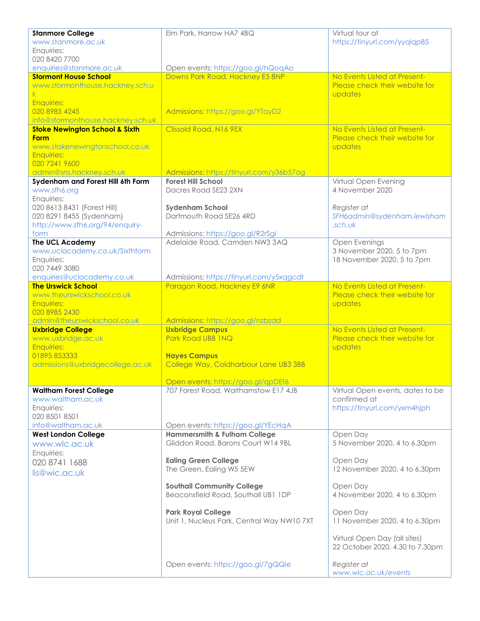| <b>Stanmore College</b>                                         | Elm Park, Harrow HA7 4BQ                                                 | Virtual tour at                                                |
|-----------------------------------------------------------------|--------------------------------------------------------------------------|----------------------------------------------------------------|
| www.stanmore.ac.uk                                              |                                                                          | https://tinyurl.com/yyqlqp85                                   |
| Enquiries:                                                      |                                                                          |                                                                |
| 020 8420 7700                                                   |                                                                          |                                                                |
| enquiries@stanmore.ac.uk                                        | Open events: https://goo.gl/hQoqAo                                       |                                                                |
| <b>Stormont House School</b><br>www.stormonthouse.hackney.sch.u | Downs Park Road, Hackney E5 8NP                                          | No Events Listed at Present-<br>Please check their website for |
|                                                                 |                                                                          | updates                                                        |
| <b>Enquiries:</b>                                               |                                                                          |                                                                |
| 020 8985 4245                                                   | Admissions: https://goo.gl/YTayD2                                        |                                                                |
| info@stormonthouse.hackney.sch.uk                               |                                                                          |                                                                |
| <b>Stoke Newington School &amp; Sixth</b>                       | Clissold Road, N16 9EX                                                   | No Events Listed at Present-                                   |
| <b>Form</b>                                                     |                                                                          | Please check their website for                                 |
| www.stokenewingtonschool.co.uk<br><b>Enquiries:</b>             |                                                                          | updates                                                        |
| 020 7241 9600                                                   |                                                                          |                                                                |
| admin@sns.hackney.sch.uk                                        | Admissions: https://tinyurl.com/y36b57og                                 |                                                                |
| Sydenham and Forest Hill 6th Form                               | <b>Forest Hill School</b>                                                | Virtual Open Evening                                           |
| www.sfh6.org                                                    | Dacres Road SE23 2XN                                                     | 4 November 2020                                                |
| Enquiries:                                                      |                                                                          |                                                                |
| 020 8613 8431 (Forest Hill)                                     | <b>Sydenham School</b><br>Dartmouth Road SE26 4RD                        | Register at                                                    |
| 020 8291 8455 (Sydenham)<br>http://www.sfh6.org/94/enquiry-     |                                                                          | SFH6admin@sydenham.lewisham<br>.sch.uk                         |
| form                                                            | Admissions: https://goo.gl/R2rSgi                                        |                                                                |
| The UCL Academy                                                 | Adelaide Road, Camden NW3 3AQ                                            | Open Evenings                                                  |
| www.uclacademy.co.uk/Sixthform                                  |                                                                          | 3 November 2020, 5 to 7pm                                      |
| Enquiries:                                                      |                                                                          | 18 November 2020, 5 to 7pm                                     |
| 020 7449 3080                                                   |                                                                          |                                                                |
| enquiries@uclacademy.co.uk<br><b>The Urswick School</b>         | Admissions: https://tinyurl.com/y5xqgcdt<br>Paragon Road, Hackney E9 6NR | No Events Listed at Present-                                   |
| www.theurswickschool.co.uk                                      |                                                                          | Please check their website for                                 |
| <b>Enquiries:</b>                                               |                                                                          | updates                                                        |
| 020 8985 2430                                                   |                                                                          |                                                                |
| admin@theurswickschool.co.uk                                    | Admissions: https://goo.gl/nzbzdd                                        |                                                                |
| <b>Uxbridge College</b>                                         | <b>Uxbridge Campus</b>                                                   | No Events Listed at Present-                                   |
| www.uxbridge.ac.uk<br><b>Enquiries:</b>                         | Park Road UB8 1NQ                                                        | Please check their website for                                 |
| 01895 853333                                                    | <b>Hayes Campus</b>                                                      | updates                                                        |
| admissions@uxbridgecollege.ac.uk                                | College Way, Coldharbour Lane UB3 3BB                                    |                                                                |
|                                                                 |                                                                          |                                                                |
|                                                                 | Open events: https://goo.gl/qpDEt6                                       |                                                                |
| <b>Waltham Forest College</b>                                   | 707 Forest Road, Walthamstow E17 4JB                                     | Virtual Open events, dates to be                               |
| www.waltham.ac.uk<br>Enquiries:                                 |                                                                          | confirmed at<br>https://tinyurl.com/yxm4hjph                   |
| 020 8501 8501                                                   |                                                                          |                                                                |
| info@waltham.ac.uk                                              | Open events: https://goo.gl/YEcHqA                                       |                                                                |
| <b>West London College</b>                                      | <b>Hammersmith &amp; Fulham College</b>                                  | Open Day                                                       |
| www.wlc.ac.uk                                                   | Gliddon Road, Barons Court W14 9BL                                       | 5 November 2020, 4 to 6.30pm                                   |
| Enquiries:                                                      |                                                                          |                                                                |
| 020 8741 1688                                                   | <b>Ealing Green College</b><br>The Green, Ealing W5 5EW                  | Open Day<br>12 November 2020, 4 to 6.30pm                      |
| lis@wic.ac.uk                                                   |                                                                          |                                                                |
|                                                                 | <b>Southall Community College</b>                                        | Open Day                                                       |
|                                                                 | Beaconsfield Road, Southall UB1 1DP                                      | 4 November 2020, 4 to 6.30pm                                   |
|                                                                 |                                                                          |                                                                |
|                                                                 | <b>Park Royal College</b>                                                | Open Day                                                       |
|                                                                 | Unit 1, Nucleus Park, Central Way NW107XT                                | 11 November 2020, 4 to 6.30pm                                  |
|                                                                 |                                                                          | Virtual Open Day (all sites)                                   |
|                                                                 |                                                                          | 22 October 2020, 4.30 to 7.30pm                                |
|                                                                 |                                                                          |                                                                |
|                                                                 | Open events: https://goo.gl/7gQQie                                       | Register at                                                    |
|                                                                 |                                                                          | www.wlc.ac.uk/events                                           |